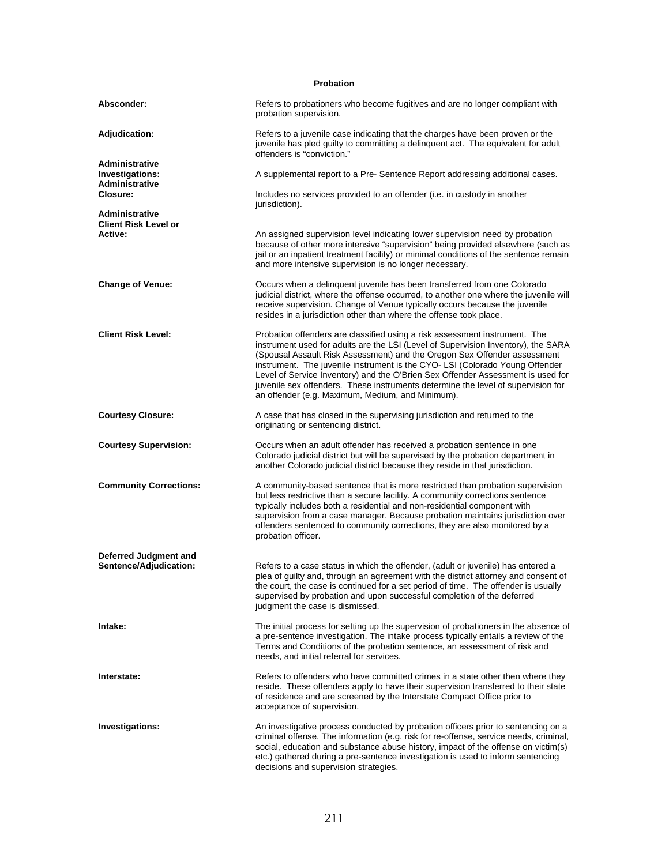| <b>Probation</b>                                           |                                                                                                                                                                                                                                                                                                                                                                                                                                                                                                                                                       |  |
|------------------------------------------------------------|-------------------------------------------------------------------------------------------------------------------------------------------------------------------------------------------------------------------------------------------------------------------------------------------------------------------------------------------------------------------------------------------------------------------------------------------------------------------------------------------------------------------------------------------------------|--|
| Absconder:                                                 | Refers to probationers who become fugitives and are no longer compliant with<br>probation supervision.                                                                                                                                                                                                                                                                                                                                                                                                                                                |  |
| <b>Adjudication:</b>                                       | Refers to a juvenile case indicating that the charges have been proven or the<br>juvenile has pled quilty to committing a delinguent act. The equivalent for adult<br>offenders is "conviction."                                                                                                                                                                                                                                                                                                                                                      |  |
| Administrative<br>Investigations:<br><b>Administrative</b> | A supplemental report to a Pre- Sentence Report addressing additional cases.                                                                                                                                                                                                                                                                                                                                                                                                                                                                          |  |
| Closure:                                                   | Includes no services provided to an offender ( <i>i.e.</i> in custody in another<br>jurisdiction).                                                                                                                                                                                                                                                                                                                                                                                                                                                    |  |
| Administrative<br><b>Client Risk Level or</b>              |                                                                                                                                                                                                                                                                                                                                                                                                                                                                                                                                                       |  |
| Active:                                                    | An assigned supervision level indicating lower supervision need by probation<br>because of other more intensive "supervision" being provided elsewhere (such as<br>jail or an inpatient treatment facility) or minimal conditions of the sentence remain<br>and more intensive supervision is no longer necessary.                                                                                                                                                                                                                                    |  |
| <b>Change of Venue:</b>                                    | Occurs when a delinquent juvenile has been transferred from one Colorado<br>judicial district, where the offense occurred, to another one where the juvenile will<br>receive supervision. Change of Venue typically occurs because the juvenile<br>resides in a jurisdiction other than where the offense took place.                                                                                                                                                                                                                                 |  |
| <b>Client Risk Level:</b>                                  | Probation offenders are classified using a risk assessment instrument. The<br>instrument used for adults are the LSI (Level of Supervision Inventory), the SARA<br>(Spousal Assault Risk Assessment) and the Oregon Sex Offender assessment<br>instrument. The juvenile instrument is the CYO-LSI (Colorado Young Offender<br>Level of Service Inventory) and the O'Brien Sex Offender Assessment is used for<br>juvenile sex offenders. These instruments determine the level of supervision for<br>an offender (e.g. Maximum, Medium, and Minimum). |  |
| <b>Courtesy Closure:</b>                                   | A case that has closed in the supervising jurisdiction and returned to the<br>originating or sentencing district.                                                                                                                                                                                                                                                                                                                                                                                                                                     |  |
| <b>Courtesy Supervision:</b>                               | Occurs when an adult offender has received a probation sentence in one<br>Colorado judicial district but will be supervised by the probation department in<br>another Colorado judicial district because they reside in that jurisdiction.                                                                                                                                                                                                                                                                                                            |  |
| <b>Community Corrections:</b>                              | A community-based sentence that is more restricted than probation supervision<br>but less restrictive than a secure facility. A community corrections sentence<br>typically includes both a residential and non-residential component with<br>supervision from a case manager. Because probation maintains jurisdiction over<br>offenders sentenced to community corrections, they are also monitored by a<br>probation officer.                                                                                                                      |  |
| Deferred Judgment and<br>Sentence/Adjudication:            | Refers to a case status in which the offender, (adult or juvenile) has entered a<br>plea of guilty and, through an agreement with the district attorney and consent of<br>the court, the case is continued for a set period of time. The offender is usually<br>supervised by probation and upon successful completion of the deferred<br>judgment the case is dismissed.                                                                                                                                                                             |  |
| Intake:                                                    | The initial process for setting up the supervision of probationers in the absence of<br>a pre-sentence investigation. The intake process typically entails a review of the<br>Terms and Conditions of the probation sentence, an assessment of risk and<br>needs, and initial referral for services.                                                                                                                                                                                                                                                  |  |
| Interstate:                                                | Refers to offenders who have committed crimes in a state other then where they<br>reside. These offenders apply to have their supervision transferred to their state<br>of residence and are screened by the Interstate Compact Office prior to<br>acceptance of supervision.                                                                                                                                                                                                                                                                         |  |
| Investigations:                                            | An investigative process conducted by probation officers prior to sentencing on a<br>criminal offense. The information (e.g. risk for re-offense, service needs, criminal,<br>social, education and substance abuse history, impact of the offense on victim(s)<br>etc.) gathered during a pre-sentence investigation is used to inform sentencing<br>decisions and supervision strategies.                                                                                                                                                           |  |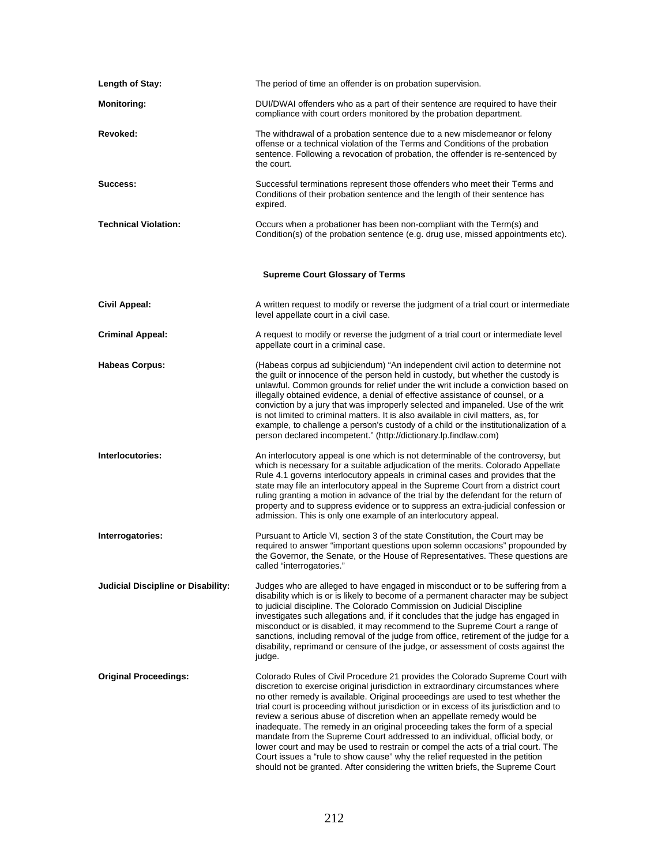| <b>Length of Stay:</b>             | The period of time an offender is on probation supervision.                                                                                                                                                                                                                                                                                                                                                                                                                                                                                                                                                                                                                                                                                                                                                                                     |  |  |
|------------------------------------|-------------------------------------------------------------------------------------------------------------------------------------------------------------------------------------------------------------------------------------------------------------------------------------------------------------------------------------------------------------------------------------------------------------------------------------------------------------------------------------------------------------------------------------------------------------------------------------------------------------------------------------------------------------------------------------------------------------------------------------------------------------------------------------------------------------------------------------------------|--|--|
| <b>Monitoring:</b>                 | DUI/DWAI offenders who as a part of their sentence are required to have their<br>compliance with court orders monitored by the probation department.                                                                                                                                                                                                                                                                                                                                                                                                                                                                                                                                                                                                                                                                                            |  |  |
| Revoked:                           | The withdrawal of a probation sentence due to a new misdemeanor or felony<br>offense or a technical violation of the Terms and Conditions of the probation<br>sentence. Following a revocation of probation, the offender is re-sentenced by<br>the court.                                                                                                                                                                                                                                                                                                                                                                                                                                                                                                                                                                                      |  |  |
| Success:                           | Successful terminations represent those offenders who meet their Terms and<br>Conditions of their probation sentence and the length of their sentence has<br>expired.                                                                                                                                                                                                                                                                                                                                                                                                                                                                                                                                                                                                                                                                           |  |  |
| <b>Technical Violation:</b>        | Occurs when a probationer has been non-compliant with the Term(s) and<br>Condition(s) of the probation sentence (e.g. drug use, missed appointments etc).                                                                                                                                                                                                                                                                                                                                                                                                                                                                                                                                                                                                                                                                                       |  |  |
|                                    | <b>Supreme Court Glossary of Terms</b>                                                                                                                                                                                                                                                                                                                                                                                                                                                                                                                                                                                                                                                                                                                                                                                                          |  |  |
| Civil Appeal:                      | A written request to modify or reverse the judgment of a trial court or intermediate<br>level appellate court in a civil case.                                                                                                                                                                                                                                                                                                                                                                                                                                                                                                                                                                                                                                                                                                                  |  |  |
| <b>Criminal Appeal:</b>            | A request to modify or reverse the judgment of a trial court or intermediate level<br>appellate court in a criminal case.                                                                                                                                                                                                                                                                                                                                                                                                                                                                                                                                                                                                                                                                                                                       |  |  |
| <b>Habeas Corpus:</b>              | (Habeas corpus ad subjiciendum) "An independent civil action to determine not<br>the guilt or innocence of the person held in custody, but whether the custody is<br>unlawful. Common grounds for relief under the writ include a conviction based on<br>illegally obtained evidence, a denial of effective assistance of counsel, or a<br>conviction by a jury that was improperly selected and impaneled. Use of the writ<br>is not limited to criminal matters. It is also available in civil matters, as, for<br>example, to challenge a person's custody of a child or the institutionalization of a<br>person declared incompetent." (http://dictionary.lp.findlaw.com)                                                                                                                                                                   |  |  |
| Interlocutories:                   | An interlocutory appeal is one which is not determinable of the controversy, but<br>which is necessary for a suitable adjudication of the merits. Colorado Appellate<br>Rule 4.1 governs interlocutory appeals in criminal cases and provides that the<br>state may file an interlocutory appeal in the Supreme Court from a district court<br>ruling granting a motion in advance of the trial by the defendant for the return of<br>property and to suppress evidence or to suppress an extra-judicial confession or<br>admission. This is only one example of an interlocutory appeal.                                                                                                                                                                                                                                                       |  |  |
| Interrogatories:                   | Pursuant to Article VI, section 3 of the state Constitution, the Court may be<br>required to answer "important questions upon solemn occasions" propounded by<br>the Governor, the Senate, or the House of Representatives. These questions are<br>called "interrogatories."                                                                                                                                                                                                                                                                                                                                                                                                                                                                                                                                                                    |  |  |
| Judicial Discipline or Disability: | Judges who are alleged to have engaged in misconduct or to be suffering from a<br>disability which is or is likely to become of a permanent character may be subject<br>to judicial discipline. The Colorado Commission on Judicial Discipline<br>investigates such allegations and, if it concludes that the judge has engaged in<br>misconduct or is disabled, it may recommend to the Supreme Court a range of<br>sanctions, including removal of the judge from office, retirement of the judge for a<br>disability, reprimand or censure of the judge, or assessment of costs against the<br>judge.                                                                                                                                                                                                                                        |  |  |
| <b>Original Proceedings:</b>       | Colorado Rules of Civil Procedure 21 provides the Colorado Supreme Court with<br>discretion to exercise original jurisdiction in extraordinary circumstances where<br>no other remedy is available. Original proceedings are used to test whether the<br>trial court is proceeding without jurisdiction or in excess of its jurisdiction and to<br>review a serious abuse of discretion when an appellate remedy would be<br>inadequate. The remedy in an original proceeding takes the form of a special<br>mandate from the Supreme Court addressed to an individual, official body, or<br>lower court and may be used to restrain or compel the acts of a trial court. The<br>Court issues a "rule to show cause" why the relief requested in the petition<br>should not be granted. After considering the written briefs, the Supreme Court |  |  |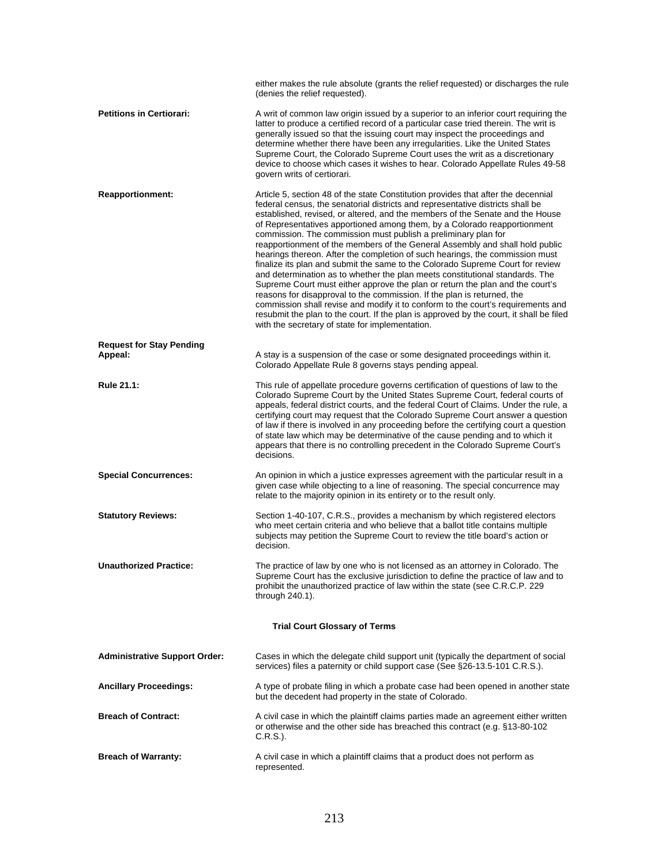|                                            | either makes the rule absolute (grants the relief requested) or discharges the rule<br>(denies the relief requested).                                                                                                                                                                                                                                                                                                                                                                                                                                                                                                                                                                                                                                                                                                                                                                                                                                                                                                                                                                                                              |  |
|--------------------------------------------|------------------------------------------------------------------------------------------------------------------------------------------------------------------------------------------------------------------------------------------------------------------------------------------------------------------------------------------------------------------------------------------------------------------------------------------------------------------------------------------------------------------------------------------------------------------------------------------------------------------------------------------------------------------------------------------------------------------------------------------------------------------------------------------------------------------------------------------------------------------------------------------------------------------------------------------------------------------------------------------------------------------------------------------------------------------------------------------------------------------------------------|--|
| <b>Petitions in Certiorari:</b>            | A writ of common law origin issued by a superior to an inferior court requiring the<br>latter to produce a certified record of a particular case tried therein. The writ is<br>generally issued so that the issuing court may inspect the proceedings and<br>determine whether there have been any irregularities. Like the United States<br>Supreme Court, the Colorado Supreme Court uses the writ as a discretionary<br>device to choose which cases it wishes to hear. Colorado Appellate Rules 49-58<br>govern writs of certiorari.                                                                                                                                                                                                                                                                                                                                                                                                                                                                                                                                                                                           |  |
| <b>Reapportionment:</b>                    | Article 5, section 48 of the state Constitution provides that after the decennial<br>federal census, the senatorial districts and representative districts shall be<br>established, revised, or altered, and the members of the Senate and the House<br>of Representatives apportioned among them, by a Colorado reapportionment<br>commission. The commission must publish a preliminary plan for<br>reapportionment of the members of the General Assembly and shall hold public<br>hearings thereon. After the completion of such hearings, the commission must<br>finalize its plan and submit the same to the Colorado Supreme Court for review<br>and determination as to whether the plan meets constitutional standards. The<br>Supreme Court must either approve the plan or return the plan and the court's<br>reasons for disapproval to the commission. If the plan is returned, the<br>commission shall revise and modify it to conform to the court's requirements and<br>resubmit the plan to the court. If the plan is approved by the court, it shall be filed<br>with the secretary of state for implementation. |  |
| <b>Request for Stay Pending</b><br>Appeal: | A stay is a suspension of the case or some designated proceedings within it.<br>Colorado Appellate Rule 8 governs stays pending appeal.                                                                                                                                                                                                                                                                                                                                                                                                                                                                                                                                                                                                                                                                                                                                                                                                                                                                                                                                                                                            |  |
| Rule 21.1:                                 | This rule of appellate procedure governs certification of questions of law to the<br>Colorado Supreme Court by the United States Supreme Court, federal courts of<br>appeals, federal district courts, and the federal Court of Claims. Under the rule, a<br>certifying court may request that the Colorado Supreme Court answer a question<br>of law if there is involved in any proceeding before the certifying court a question<br>of state law which may be determinative of the cause pending and to which it<br>appears that there is no controlling precedent in the Colorado Supreme Court's<br>decisions.                                                                                                                                                                                                                                                                                                                                                                                                                                                                                                                |  |
| <b>Special Concurrences:</b>               | An opinion in which a justice expresses agreement with the particular result in a<br>given case while objecting to a line of reasoning. The special concurrence may<br>relate to the majority opinion in its entirety or to the result only.                                                                                                                                                                                                                                                                                                                                                                                                                                                                                                                                                                                                                                                                                                                                                                                                                                                                                       |  |
| <b>Statutory Reviews:</b>                  | Section 1-40-107, C.R.S., provides a mechanism by which registered electors<br>who meet certain criteria and who believe that a ballot title contains multiple<br>subjects may petition the Supreme Court to review the title board's action or<br>decision.                                                                                                                                                                                                                                                                                                                                                                                                                                                                                                                                                                                                                                                                                                                                                                                                                                                                       |  |
| <b>Unauthorized Practice:</b>              | The practice of law by one who is not licensed as an attorney in Colorado. The<br>Supreme Court has the exclusive jurisdiction to define the practice of law and to<br>prohibit the unauthorized practice of law within the state (see C.R.C.P. 229<br>through 240.1).                                                                                                                                                                                                                                                                                                                                                                                                                                                                                                                                                                                                                                                                                                                                                                                                                                                             |  |
| <b>Trial Court Glossary of Terms</b>       |                                                                                                                                                                                                                                                                                                                                                                                                                                                                                                                                                                                                                                                                                                                                                                                                                                                                                                                                                                                                                                                                                                                                    |  |
| <b>Administrative Support Order:</b>       | Cases in which the delegate child support unit (typically the department of social<br>services) files a paternity or child support case (See §26-13.5-101 C.R.S.).                                                                                                                                                                                                                                                                                                                                                                                                                                                                                                                                                                                                                                                                                                                                                                                                                                                                                                                                                                 |  |
| <b>Ancillary Proceedings:</b>              | A type of probate filing in which a probate case had been opened in another state<br>but the decedent had property in the state of Colorado.                                                                                                                                                                                                                                                                                                                                                                                                                                                                                                                                                                                                                                                                                                                                                                                                                                                                                                                                                                                       |  |
| <b>Breach of Contract:</b>                 | A civil case in which the plaintiff claims parties made an agreement either written<br>or otherwise and the other side has breached this contract (e.g. §13-80-102<br>C.R.S.).                                                                                                                                                                                                                                                                                                                                                                                                                                                                                                                                                                                                                                                                                                                                                                                                                                                                                                                                                     |  |
| <b>Breach of Warranty:</b>                 | A civil case in which a plaintiff claims that a product does not perform as<br>represented.                                                                                                                                                                                                                                                                                                                                                                                                                                                                                                                                                                                                                                                                                                                                                                                                                                                                                                                                                                                                                                        |  |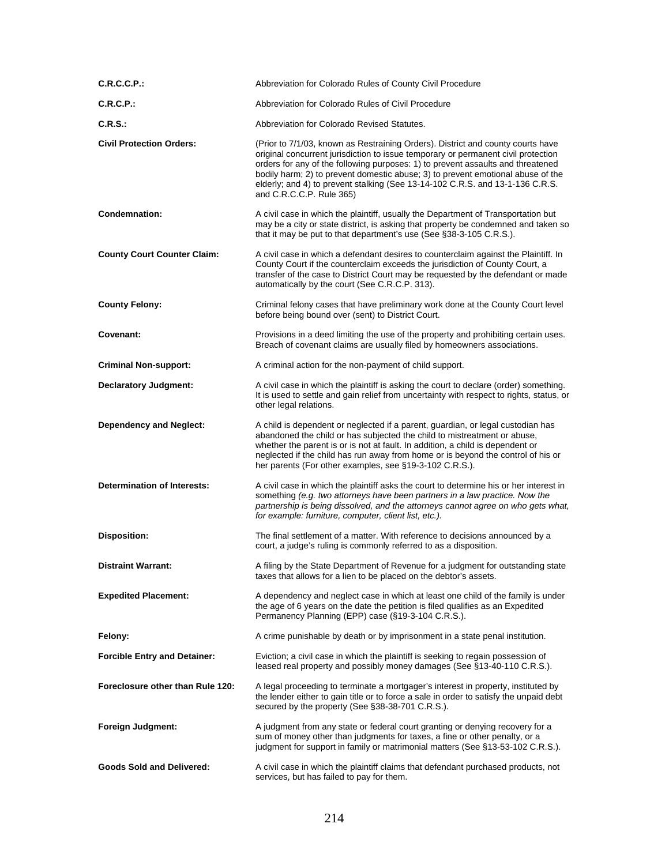| C.R.C.C.P.                          | Abbreviation for Colorado Rules of County Civil Procedure                                                                                                                                                                                                                                                                                                                                                                                               |
|-------------------------------------|---------------------------------------------------------------------------------------------------------------------------------------------------------------------------------------------------------------------------------------------------------------------------------------------------------------------------------------------------------------------------------------------------------------------------------------------------------|
| <b>C.R.C.P.:</b>                    | Abbreviation for Colorado Rules of Civil Procedure                                                                                                                                                                                                                                                                                                                                                                                                      |
| <b>C.R.S.:</b>                      | Abbreviation for Colorado Revised Statutes.                                                                                                                                                                                                                                                                                                                                                                                                             |
| <b>Civil Protection Orders:</b>     | (Prior to 7/1/03, known as Restraining Orders). District and county courts have<br>original concurrent jurisdiction to issue temporary or permanent civil protection<br>orders for any of the following purposes: 1) to prevent assaults and threatened<br>bodily harm; 2) to prevent domestic abuse; 3) to prevent emotional abuse of the<br>elderly; and 4) to prevent stalking (See 13-14-102 C.R.S. and 13-1-136 C.R.S.<br>and C.R.C.C.P. Rule 365) |
| Condemnation:                       | A civil case in which the plaintiff, usually the Department of Transportation but<br>may be a city or state district, is asking that property be condemned and taken so<br>that it may be put to that department's use (See §38-3-105 C.R.S.).                                                                                                                                                                                                          |
| <b>County Court Counter Claim:</b>  | A civil case in which a defendant desires to counterclaim against the Plaintiff. In<br>County Court if the counterclaim exceeds the jurisdiction of County Court, a<br>transfer of the case to District Court may be requested by the defendant or made<br>automatically by the court (See C.R.C.P. 313).                                                                                                                                               |
| <b>County Felony:</b>               | Criminal felony cases that have preliminary work done at the County Court level<br>before being bound over (sent) to District Court.                                                                                                                                                                                                                                                                                                                    |
| Covenant:                           | Provisions in a deed limiting the use of the property and prohibiting certain uses.<br>Breach of covenant claims are usually filed by homeowners associations.                                                                                                                                                                                                                                                                                          |
| <b>Criminal Non-support:</b>        | A criminal action for the non-payment of child support.                                                                                                                                                                                                                                                                                                                                                                                                 |
| <b>Declaratory Judgment:</b>        | A civil case in which the plaintiff is asking the court to declare (order) something.<br>It is used to settle and gain relief from uncertainty with respect to rights, status, or<br>other legal relations.                                                                                                                                                                                                                                             |
| <b>Dependency and Neglect:</b>      | A child is dependent or neglected if a parent, guardian, or legal custodian has<br>abandoned the child or has subjected the child to mistreatment or abuse,<br>whether the parent is or is not at fault. In addition, a child is dependent or<br>neglected if the child has run away from home or is beyond the control of his or<br>her parents (For other examples, see §19-3-102 C.R.S.).                                                            |
| <b>Determination of Interests:</b>  | A civil case in which the plaintiff asks the court to determine his or her interest in<br>something (e.g. two attorneys have been partners in a law practice. Now the<br>partnership is being dissolved, and the attorneys cannot agree on who gets what,<br>for example: furniture, computer, client list, etc.).                                                                                                                                      |
| <b>Disposition:</b>                 | The final settlement of a matter. With reference to decisions announced by a<br>court, a judge's ruling is commonly referred to as a disposition.                                                                                                                                                                                                                                                                                                       |
| <b>Distraint Warrant:</b>           | A filing by the State Department of Revenue for a judgment for outstanding state<br>taxes that allows for a lien to be placed on the debtor's assets.                                                                                                                                                                                                                                                                                                   |
| <b>Expedited Placement:</b>         | A dependency and neglect case in which at least one child of the family is under<br>the age of 6 years on the date the petition is filed qualifies as an Expedited<br>Permanency Planning (EPP) case (§19-3-104 C.R.S.).                                                                                                                                                                                                                                |
| Felonv:                             | A crime punishable by death or by imprisonment in a state penal institution.                                                                                                                                                                                                                                                                                                                                                                            |
| <b>Forcible Entry and Detainer:</b> | Eviction; a civil case in which the plaintiff is seeking to regain possession of<br>leased real property and possibly money damages (See §13-40-110 C.R.S.).                                                                                                                                                                                                                                                                                            |
| Foreclosure other than Rule 120:    | A legal proceeding to terminate a mortgager's interest in property, instituted by<br>the lender either to gain title or to force a sale in order to satisfy the unpaid debt<br>secured by the property (See §38-38-701 C.R.S.).                                                                                                                                                                                                                         |
| Foreign Judgment:                   | A judgment from any state or federal court granting or denying recovery for a<br>sum of money other than judgments for taxes, a fine or other penalty, or a<br>judgment for support in family or matrimonial matters (See §13-53-102 C.R.S.).                                                                                                                                                                                                           |
| <b>Goods Sold and Delivered:</b>    | A civil case in which the plaintiff claims that defendant purchased products, not<br>services, but has failed to pay for them.                                                                                                                                                                                                                                                                                                                          |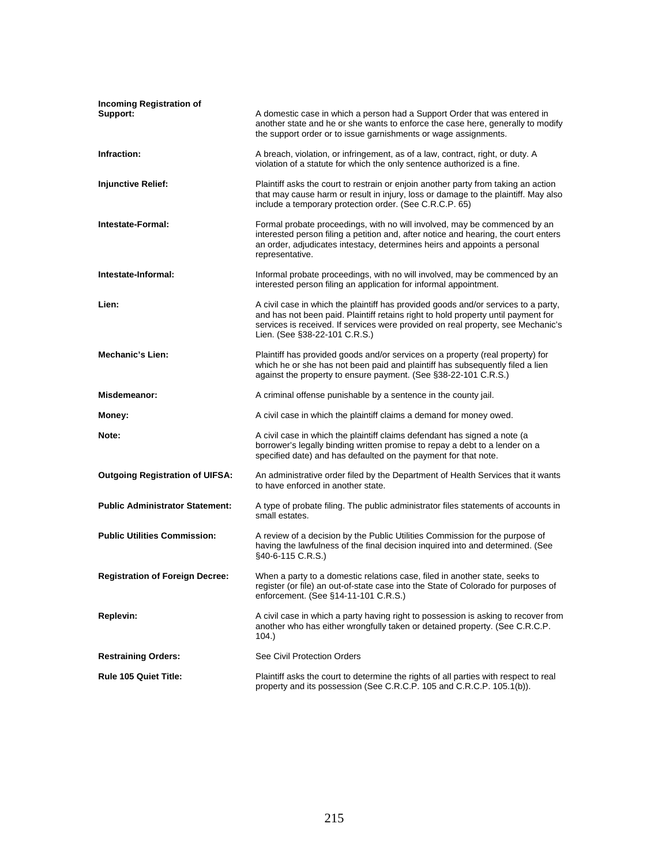| <b>Incoming Registration of</b><br>Support: | A domestic case in which a person had a Support Order that was entered in<br>another state and he or she wants to enforce the case here, generally to modify<br>the support order or to issue garnishments or wage assignments.                                                              |
|---------------------------------------------|----------------------------------------------------------------------------------------------------------------------------------------------------------------------------------------------------------------------------------------------------------------------------------------------|
| Infraction:                                 | A breach, violation, or infringement, as of a law, contract, right, or duty. A<br>violation of a statute for which the only sentence authorized is a fine.                                                                                                                                   |
| <b>Injunctive Relief:</b>                   | Plaintiff asks the court to restrain or enjoin another party from taking an action<br>that may cause harm or result in injury, loss or damage to the plaintiff. May also<br>include a temporary protection order. (See C.R.C.P. 65)                                                          |
| Intestate-Formal:                           | Formal probate proceedings, with no will involved, may be commenced by an<br>interested person filing a petition and, after notice and hearing, the court enters<br>an order, adjudicates intestacy, determines heirs and appoints a personal<br>representative.                             |
| Intestate-Informal:                         | Informal probate proceedings, with no will involved, may be commenced by an<br>interested person filing an application for informal appointment.                                                                                                                                             |
| Lien:                                       | A civil case in which the plaintiff has provided goods and/or services to a party,<br>and has not been paid. Plaintiff retains right to hold property until payment for<br>services is received. If services were provided on real property, see Mechanic's<br>Lien. (See §38-22-101 C.R.S.) |
| <b>Mechanic's Lien:</b>                     | Plaintiff has provided goods and/or services on a property (real property) for<br>which he or she has not been paid and plaintiff has subsequently filed a lien<br>against the property to ensure payment. (See §38-22-101 C.R.S.)                                                           |
| Misdemeanor:                                | A criminal offense punishable by a sentence in the county jail.                                                                                                                                                                                                                              |
| Money:                                      | A civil case in which the plaintiff claims a demand for money owed.                                                                                                                                                                                                                          |
| Note:                                       | A civil case in which the plaintiff claims defendant has signed a note (a<br>borrower's legally binding written promise to repay a debt to a lender on a<br>specified date) and has defaulted on the payment for that note.                                                                  |
| <b>Outgoing Registration of UIFSA:</b>      | An administrative order filed by the Department of Health Services that it wants<br>to have enforced in another state.                                                                                                                                                                       |
| <b>Public Administrator Statement:</b>      | A type of probate filing. The public administrator files statements of accounts in<br>small estates.                                                                                                                                                                                         |
| <b>Public Utilities Commission:</b>         | A review of a decision by the Public Utilities Commission for the purpose of<br>having the lawfulness of the final decision inquired into and determined. (See<br>$§40-6-115$ C.R.S.)                                                                                                        |
| <b>Registration of Foreign Decree:</b>      | When a party to a domestic relations case, filed in another state, seeks to<br>register (or file) an out-of-state case into the State of Colorado for purposes of<br>enforcement. (See §14-11-101 C.R.S.)                                                                                    |
| <b>Replevin:</b>                            | A civil case in which a party having right to possession is asking to recover from<br>another who has either wrongfully taken or detained property. (See C.R.C.P.<br>104.)                                                                                                                   |
| <b>Restraining Orders:</b>                  | See Civil Protection Orders                                                                                                                                                                                                                                                                  |
| <b>Rule 105 Quiet Title:</b>                | Plaintiff asks the court to determine the rights of all parties with respect to real<br>property and its possession (See C.R.C.P. 105 and C.R.C.P. 105.1(b)).                                                                                                                                |